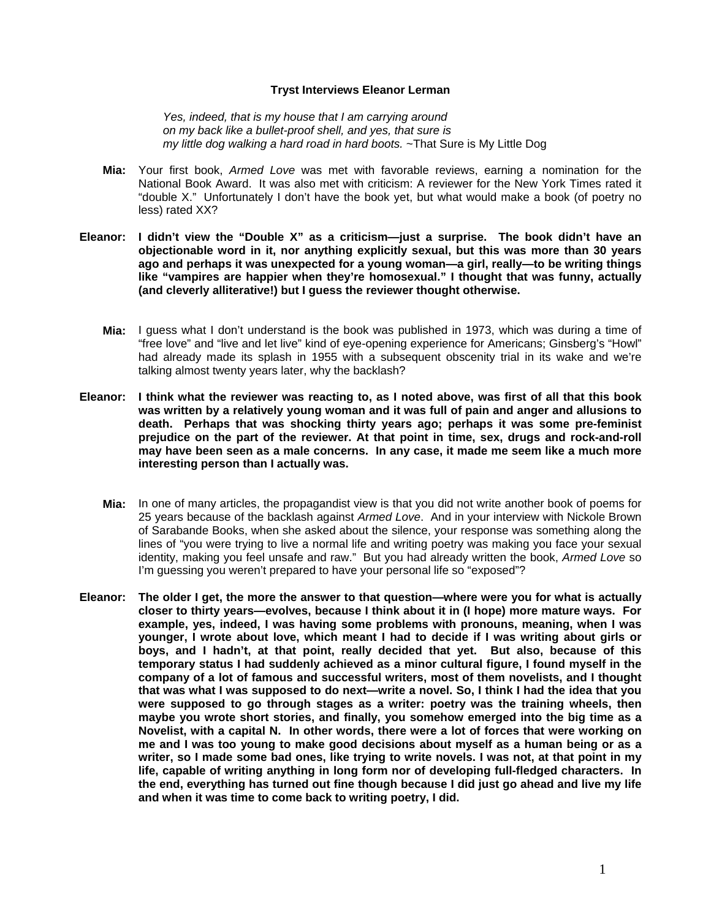## **Tryst Interviews Eleanor Lerman**

*Yes, indeed, that is my house that I am carrying around on my back like a bullet-proof shell, and yes, that sure is my little dog walking a hard road in hard boots.* ~That Sure is My Little Dog

- **Mia:** Your first book, *Armed Love* was met with favorable reviews, earning a nomination for the National Book Award. It was also met with criticism: A reviewer for the New York Times rated it "double X." Unfortunately I don't have the book yet, but what would make a book (of poetry no less) rated XX?
- **Eleanor: I didn't view the "Double X" as a criticism—just a surprise. The book didn't have an objectionable word in it, nor anything explicitly sexual, but this was more than 30 years ago and perhaps it was unexpected for a young woman—a girl, really—to be writing things like "vampires are happier when they're homosexual." I thought that was funny, actually (and cleverly alliterative!) but I guess the reviewer thought otherwise.** 
	- **Mia:** I guess what I don't understand is the book was published in 1973, which was during a time of "free love" and "live and let live" kind of eye-opening experience for Americans; Ginsberg's "Howl" had already made its splash in 1955 with a subsequent obscenity trial in its wake and we're talking almost twenty years later, why the backlash?
- **Eleanor: I think what the reviewer was reacting to, as I noted above, was first of all that this book was written by a relatively young woman and it was full of pain and anger and allusions to death. Perhaps that was shocking thirty years ago; perhaps it was some pre-feminist prejudice on the part of the reviewer. At that point in time, sex, drugs and rock-and-roll may have been seen as a male concerns. In any case, it made me seem like a much more interesting person than I actually was.** 
	- **Mia:** In one of many articles, the propagandist view is that you did not write another book of poems for 25 years because of the backlash against *Armed Love*. And in your interview with Nickole Brown of Sarabande Books, when she asked about the silence, your response was something along the lines of "you were trying to live a normal life and writing poetry was making you face your sexual identity, making you feel unsafe and raw." But you had already written the book, *Armed Love* so I'm guessing you weren't prepared to have your personal life so "exposed"?
- **Eleanor: The older I get, the more the answer to that question—where were you for what is actually closer to thirty years—evolves, because I think about it in (I hope) more mature ways. For example, yes, indeed, I was having some problems with pronouns, meaning, when I was younger, I wrote about love, which meant I had to decide if I was writing about girls or boys, and I hadn't, at that point, really decided that yet. But also, because of this temporary status I had suddenly achieved as a minor cultural figure, I found myself in the company of a lot of famous and successful writers, most of them novelists, and I thought that was what I was supposed to do next—write a novel. So, I think I had the idea that you were supposed to go through stages as a writer: poetry was the training wheels, then maybe you wrote short stories, and finally, you somehow emerged into the big time as a Novelist, with a capital N. In other words, there were a lot of forces that were working on me and I was too young to make good decisions about myself as a human being or as a writer, so I made some bad ones, like trying to write novels. I was not, at that point in my life, capable of writing anything in long form nor of developing full-fledged characters. In the end, everything has turned out fine though because I did just go ahead and live my life and when it was time to come back to writing poetry, I did.**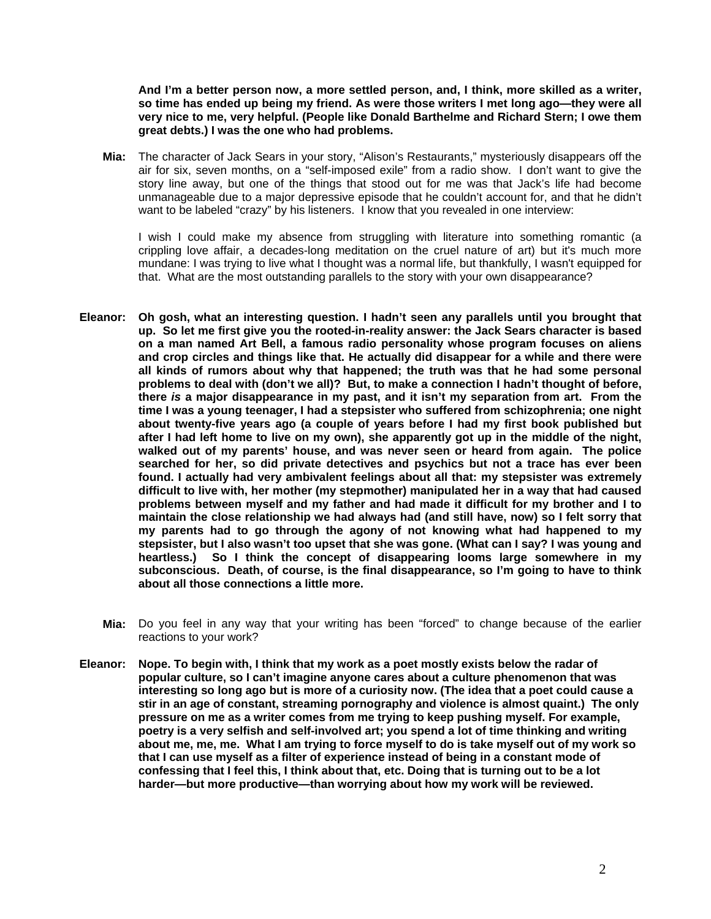**And I'm a better person now, a more settled person, and, I think, more skilled as a writer,**  so time has ended up being my friend. As were those writers I met long ago—they were all **very nice to me, very helpful. (People like Donald Barthelme and Richard Stern; I owe them great debts.) I was the one who had problems.** 

**Mia:** The character of Jack Sears in your story, "Alison's Restaurants," mysteriously disappears off the air for six, seven months, on a "self-imposed exile" from a radio show. I don't want to give the story line away, but one of the things that stood out for me was that Jack's life had become unmanageable due to a major depressive episode that he couldn't account for, and that he didn't want to be labeled "crazy" by his listeners. I know that you revealed in one interview:

I wish I could make my absence from struggling with literature into something romantic (a crippling love affair, a decades-long meditation on the cruel nature of art) but it's much more mundane: I was trying to live what I thought was a normal life, but thankfully, I wasn't equipped for that. What are the most outstanding parallels to the story with your own disappearance?

- **Eleanor: Oh gosh, what an interesting question. I hadn't seen any parallels until you brought that up. So let me first give you the rooted-in-reality answer: the Jack Sears character is based on a man named Art Bell, a famous radio personality whose program focuses on aliens and crop circles and things like that. He actually did disappear for a while and there were all kinds of rumors about why that happened; the truth was that he had some personal problems to deal with (don't we all)? But, to make a connection I hadn't thought of before, there** *is* **a major disappearance in my past, and it isn't my separation from art. From the time I was a young teenager, I had a stepsister who suffered from schizophrenia; one night about twenty-five years ago (a couple of years before I had my first book published but after I had left home to live on my own), she apparently got up in the middle of the night, walked out of my parents' house, and was never seen or heard from again. The police searched for her, so did private detectives and psychics but not a trace has ever been found. I actually had very ambivalent feelings about all that: my stepsister was extremely difficult to live with, her mother (my stepmother) manipulated her in a way that had caused problems between myself and my father and had made it difficult for my brother and I to maintain the close relationship we had always had (and still have, now) so I felt sorry that my parents had to go through the agony of not knowing what had happened to my stepsister, but I also wasn't too upset that she was gone. (What can I say? I was young and heartless.) So I think the concept of disappearing looms large somewhere in my subconscious. Death, of course, is the final disappearance, so I'm going to have to think about all those connections a little more.** 
	- **Mia:** Do you feel in any way that your writing has been "forced" to change because of the earlier reactions to your work?
- **Eleanor: Nope. To begin with, I think that my work as a poet mostly exists below the radar of popular culture, so I can't imagine anyone cares about a culture phenomenon that was interesting so long ago but is more of a curiosity now. (The idea that a poet could cause a stir in an age of constant, streaming pornography and violence is almost quaint.) The only pressure on me as a writer comes from me trying to keep pushing myself. For example, poetry is a very selfish and self-involved art; you spend a lot of time thinking and writing about me, me, me. What I am trying to force myself to do is take myself out of my work so that I can use myself as a filter of experience instead of being in a constant mode of confessing that I feel this, I think about that, etc. Doing that is turning out to be a lot harder—but more productive—than worrying about how my work will be reviewed.**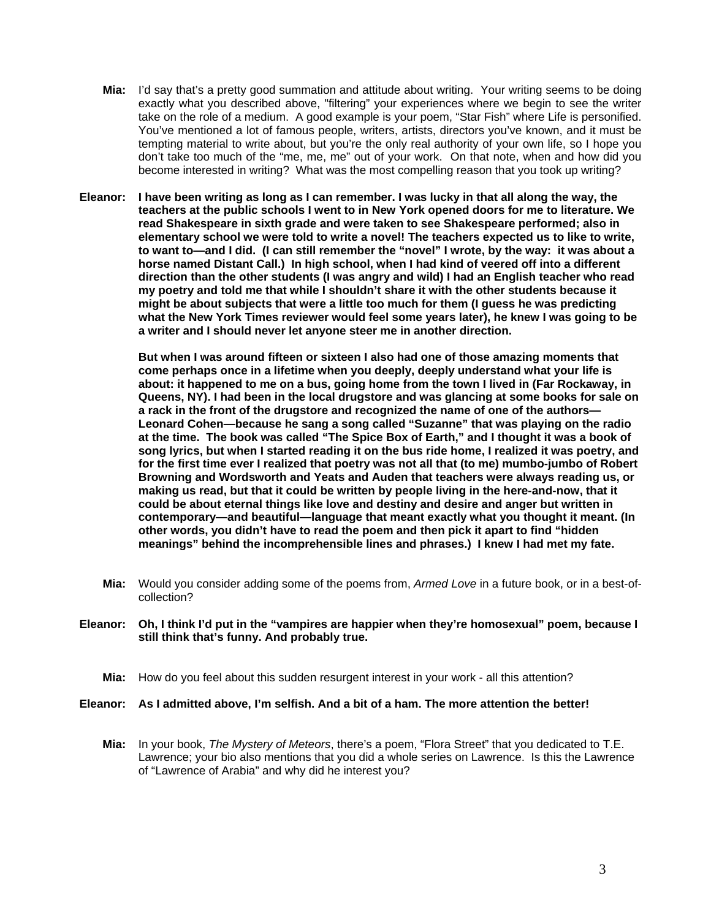- **Mia:** I'd say that's a pretty good summation and attitude about writing. Your writing seems to be doing exactly what you described above, "filtering" your experiences where we begin to see the writer take on the role of a medium. A good example is your poem, "Star Fish" where Life is personified. You've mentioned a lot of famous people, writers, artists, directors you've known, and it must be tempting material to write about, but you're the only real authority of your own life, so I hope you don't take too much of the "me, me, me" out of your work. On that note, when and how did you become interested in writing? What was the most compelling reason that you took up writing?
- **Eleanor: I have been writing as long as I can remember. I was lucky in that all along the way, the teachers at the public schools I went to in New York opened doors for me to literature. We read Shakespeare in sixth grade and were taken to see Shakespeare performed; also in elementary school we were told to write a novel! The teachers expected us to like to write, to want to—and I did. (I can still remember the "novel" I wrote, by the way: it was about a horse named Distant Call.) In high school, when I had kind of veered off into a different direction than the other students (I was angry and wild) I had an English teacher who read my poetry and told me that while I shouldn't share it with the other students because it might be about subjects that were a little too much for them (I guess he was predicting what the New York Times reviewer would feel some years later), he knew I was going to be a writer and I should never let anyone steer me in another direction.**

**But when I was around fifteen or sixteen I also had one of those amazing moments that come perhaps once in a lifetime when you deeply, deeply understand what your life is about: it happened to me on a bus, going home from the town I lived in (Far Rockaway, in Queens, NY). I had been in the local drugstore and was glancing at some books for sale on a rack in the front of the drugstore and recognized the name of one of the authors— Leonard Cohen—because he sang a song called "Suzanne" that was playing on the radio at the time. The book was called "The Spice Box of Earth," and I thought it was a book of song lyrics, but when I started reading it on the bus ride home, I realized it was poetry, and for the first time ever I realized that poetry was not all that (to me) mumbo-jumbo of Robert Browning and Wordsworth and Yeats and Auden that teachers were always reading us, or making us read, but that it could be written by people living in the here-and-now, that it could be about eternal things like love and destiny and desire and anger but written in contemporary—and beautiful—language that meant exactly what you thought it meant. (In other words, you didn't have to read the poem and then pick it apart to find "hidden meanings" behind the incomprehensible lines and phrases.) I knew I had met my fate.** 

- **Mia:** Would you consider adding some of the poems from, *Armed Love* in a future book, or in a best-ofcollection?
- **Eleanor: Oh, I think I'd put in the "vampires are happier when they're homosexual" poem, because I still think that's funny. And probably true.** 
	- **Mia:** How do you feel about this sudden resurgent interest in your work all this attention?

**Eleanor: As I admitted above, I'm selfish. And a bit of a ham. The more attention the better!** 

**Mia:** In your book, *The Mystery of Meteors*, there's a poem, "Flora Street" that you dedicated to T.E. Lawrence; your bio also mentions that you did a whole series on Lawrence. Is this the Lawrence of "Lawrence of Arabia" and why did he interest you?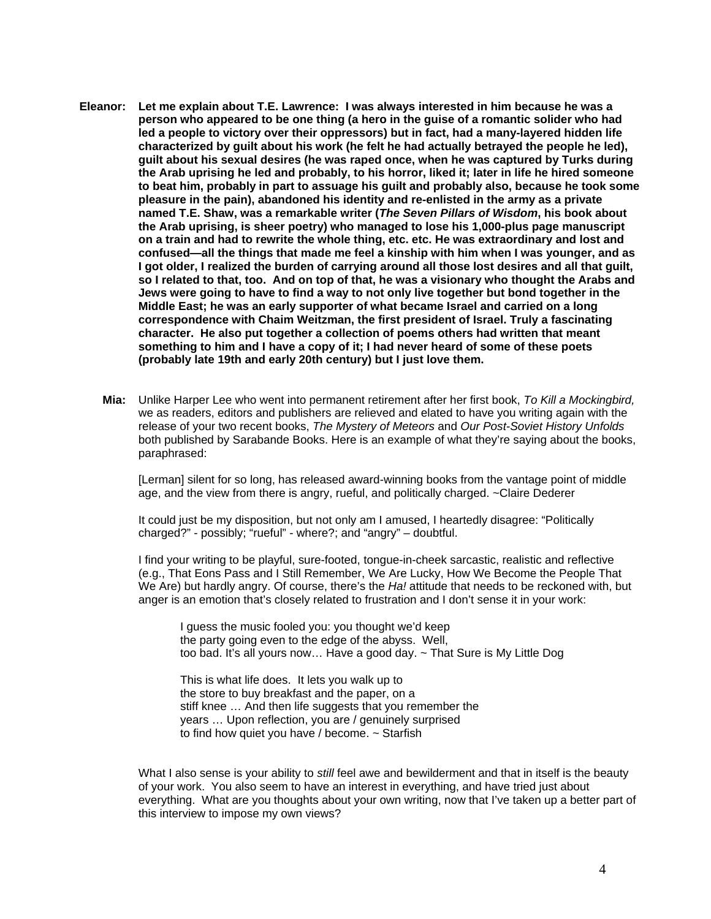- **Eleanor: Let me explain about T.E. Lawrence: I was always interested in him because he was a person who appeared to be one thing (a hero in the guise of a romantic solider who had led a people to victory over their oppressors) but in fact, had a many-layered hidden life characterized by guilt about his work (he felt he had actually betrayed the people he led), guilt about his sexual desires (he was raped once, when he was captured by Turks during the Arab uprising he led and probably, to his horror, liked it; later in life he hired someone to beat him, probably in part to assuage his guilt and probably also, because he took some pleasure in the pain), abandoned his identity and re-enlisted in the army as a private named T.E. Shaw, was a remarkable writer (***The Seven Pillars of Wisdom***, his book about the Arab uprising, is sheer poetry) who managed to lose his 1,000-plus page manuscript on a train and had to rewrite the whole thing, etc. etc. He was extraordinary and lost and confused—all the things that made me feel a kinship with him when I was younger, and as I got older, I realized the burden of carrying around all those lost desires and all that guilt, so I related to that, too. And on top of that, he was a visionary who thought the Arabs and Jews were going to have to find a way to not only live together but bond together in the Middle East; he was an early supporter of what became Israel and carried on a long correspondence with Chaim Weitzman, the first president of Israel. Truly a fascinating character. He also put together a collection of poems others had written that meant something to him and I have a copy of it; I had never heard of some of these poets (probably late 19th and early 20th century) but I just love them.** 
	- **Mia:** Unlike Harper Lee who went into permanent retirement after her first book, *To Kill a Mockingbird,* we as readers, editors and publishers are relieved and elated to have you writing again with the release of your two recent books, *The Mystery of Meteors* and *Our Post-Soviet History Unfolds*  both published by Sarabande Books. Here is an example of what they're saying about the books, paraphrased:

[Lerman] silent for so long, has released award-winning books from the vantage point of middle age, and the view from there is angry, rueful, and politically charged. ~Claire Dederer

It could just be my disposition, but not only am I amused, I heartedly disagree: "Politically charged?" - possibly; "rueful" - where?; and "angry" – doubtful.

I find your writing to be playful, sure-footed, tongue-in-cheek sarcastic, realistic and reflective (e.g., That Eons Pass and I Still Remember, We Are Lucky, How We Become the People That We Are) but hardly angry. Of course, there's the *Ha!* attitude that needs to be reckoned with, but anger is an emotion that's closely related to frustration and I don't sense it in your work:

I guess the music fooled you: you thought we'd keep the party going even to the edge of the abyss. Well, too bad. It's all yours now… Have a good day. ~ That Sure is My Little Dog

This is what life does. It lets you walk up to the store to buy breakfast and the paper, on a stiff knee … And then life suggests that you remember the years … Upon reflection, you are / genuinely surprised to find how quiet you have / become.  $\sim$  Starfish

What I also sense is your ability to *still* feel awe and bewilderment and that in itself is the beauty of your work. You also seem to have an interest in everything, and have tried just about everything. What are you thoughts about your own writing, now that I've taken up a better part of this interview to impose my own views?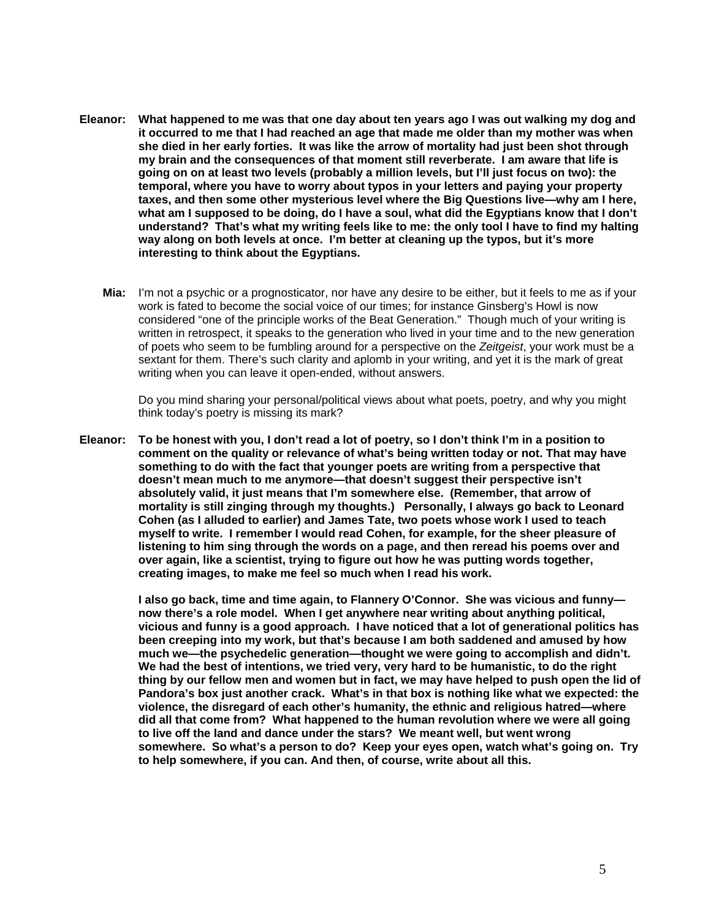- **Eleanor: What happened to me was that one day about ten years ago I was out walking my dog and it occurred to me that I had reached an age that made me older than my mother was when she died in her early forties. It was like the arrow of mortality had just been shot through my brain and the consequences of that moment still reverberate. I am aware that life is going on on at least two levels (probably a million levels, but I'll just focus on two): the temporal, where you have to worry about typos in your letters and paying your property taxes, and then some other mysterious level where the Big Questions live—why am I here, what am I supposed to be doing, do I have a soul, what did the Egyptians know that I don't understand? That's what my writing feels like to me: the only tool I have to find my halting way along on both levels at once. I'm better at cleaning up the typos, but it's more interesting to think about the Egyptians.** 
	- **Mia:** I'm not a psychic or a prognosticator, nor have any desire to be either, but it feels to me as if your work is fated to become the social voice of our times; for instance Ginsberg's Howl is now considered "one of the principle works of the Beat Generation." Though much of your writing is written in retrospect, it speaks to the generation who lived in your time and to the new generation of poets who seem to be fumbling around for a perspective on the *Zeitgeist*, your work must be a sextant for them. There's such clarity and aplomb in your writing, and yet it is the mark of great writing when you can leave it open-ended, without answers.

Do you mind sharing your personal/political views about what poets, poetry, and why you might think today's poetry is missing its mark?

**Eleanor: To be honest with you, I don't read a lot of poetry, so I don't think I'm in a position to comment on the quality or relevance of what's being written today or not. That may have something to do with the fact that younger poets are writing from a perspective that doesn't mean much to me anymore—that doesn't suggest their perspective isn't absolutely valid, it just means that I'm somewhere else. (Remember, that arrow of mortality is still zinging through my thoughts.) Personally, I always go back to Leonard Cohen (as I alluded to earlier) and James Tate, two poets whose work I used to teach myself to write. I remember I would read Cohen, for example, for the sheer pleasure of listening to him sing through the words on a page, and then reread his poems over and over again, like a scientist, trying to figure out how he was putting words together, creating images, to make me feel so much when I read his work.** 

> **I also go back, time and time again, to Flannery O'Connor. She was vicious and funny now there's a role model. When I get anywhere near writing about anything political, vicious and funny is a good approach. I have noticed that a lot of generational politics has been creeping into my work, but that's because I am both saddened and amused by how much we—the psychedelic generation—thought we were going to accomplish and didn't. We had the best of intentions, we tried very, very hard to be humanistic, to do the right thing by our fellow men and women but in fact, we may have helped to push open the lid of Pandora's box just another crack. What's in that box is nothing like what we expected: the violence, the disregard of each other's humanity, the ethnic and religious hatred—where did all that come from? What happened to the human revolution where we were all going to live off the land and dance under the stars? We meant well, but went wrong somewhere. So what's a person to do? Keep your eyes open, watch what's going on. Try to help somewhere, if you can. And then, of course, write about all this.**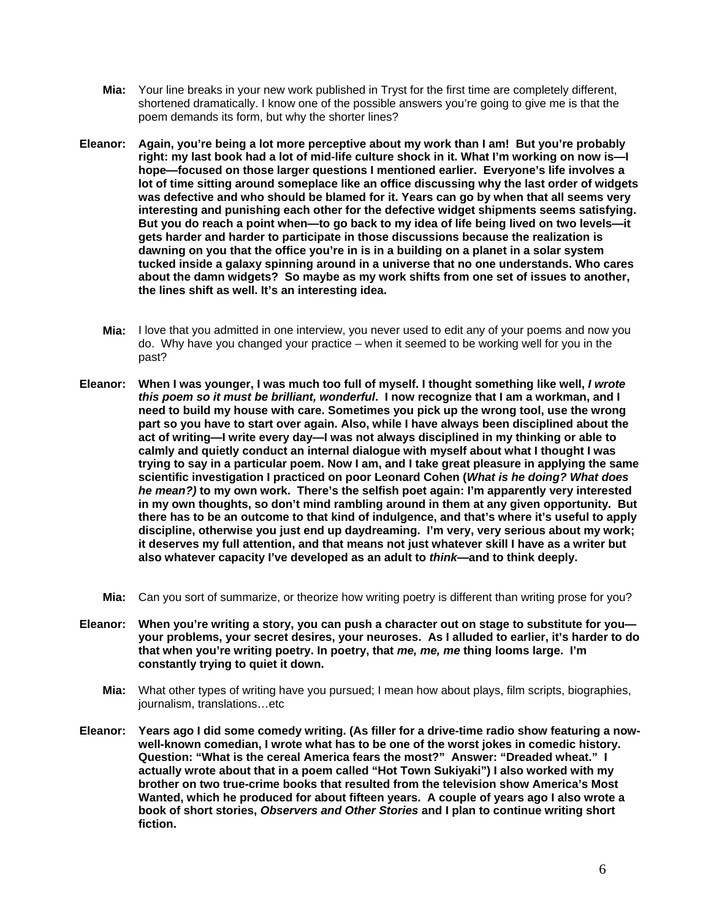- **Mia:** Your line breaks in your new work published in Tryst for the first time are completely different, shortened dramatically. I know one of the possible answers you're going to give me is that the poem demands its form, but why the shorter lines?
- **Eleanor: Again, you're being a lot more perceptive about my work than I am! But you're probably right: my last book had a lot of mid-life culture shock in it. What I'm working on now is—I hope—focused on those larger questions I mentioned earlier. Everyone's life involves a lot of time sitting around someplace like an office discussing why the last order of widgets was defective and who should be blamed for it. Years can go by when that all seems very interesting and punishing each other for the defective widget shipments seems satisfying. But you do reach a point when—to go back to my idea of life being lived on two levels—it gets harder and harder to participate in those discussions because the realization is dawning on you that the office you're in is in a building on a planet in a solar system tucked inside a galaxy spinning around in a universe that no one understands. Who cares about the damn widgets? So maybe as my work shifts from one set of issues to another, the lines shift as well. It's an interesting idea.** 
	- **Mia:** I love that you admitted in one interview, you never used to edit any of your poems and now you do. Why have you changed your practice – when it seemed to be working well for you in the past?
- **Eleanor: When I was younger, I was much too full of myself. I thought something like well,** *I wrote this poem so it must be brilliant, wonderful***. I now recognize that I am a workman, and I need to build my house with care. Sometimes you pick up the wrong tool, use the wrong part so you have to start over again. Also, while I have always been disciplined about the act of writing—I write every day—I was not always disciplined in my thinking or able to calmly and quietly conduct an internal dialogue with myself about what I thought I was trying to say in a particular poem. Now I am, and I take great pleasure in applying the same scientific investigation I practiced on poor Leonard Cohen (***What is he doing? What does he mean?)* **to my own work. There's the selfish poet again: I'm apparently very interested in my own thoughts, so don't mind rambling around in them at any given opportunity. But there has to be an outcome to that kind of indulgence, and that's where it's useful to apply discipline, otherwise you just end up daydreaming. I'm very, very serious about my work; it deserves my full attention, and that means not just whatever skill I have as a writer but also whatever capacity I've developed as an adult to** *think***—and to think deeply.** 
	- **Mia:** Can you sort of summarize, or theorize how writing poetry is different than writing prose for you?
- **Eleanor: When you're writing a story, you can push a character out on stage to substitute for you your problems, your secret desires, your neuroses. As I alluded to earlier, it's harder to do that when you're writing poetry. In poetry, that** *me, me, me* **thing looms large. I'm constantly trying to quiet it down.** 
	- **Mia:** What other types of writing have you pursued; I mean how about plays, film scripts, biographies, journalism, translations…etc
- **Eleanor: Years ago I did some comedy writing. (As filler for a drive-time radio show featuring a nowwell-known comedian, I wrote what has to be one of the worst jokes in comedic history. Question: "What is the cereal America fears the most?" Answer: "Dreaded wheat." I actually wrote about that in a poem called "Hot Town Sukiyaki") I also worked with my brother on two true-crime books that resulted from the television show America's Most Wanted, which he produced for about fifteen years. A couple of years ago I also wrote a book of short stories,** *Observers and Other Stories* **and I plan to continue writing short fiction.**